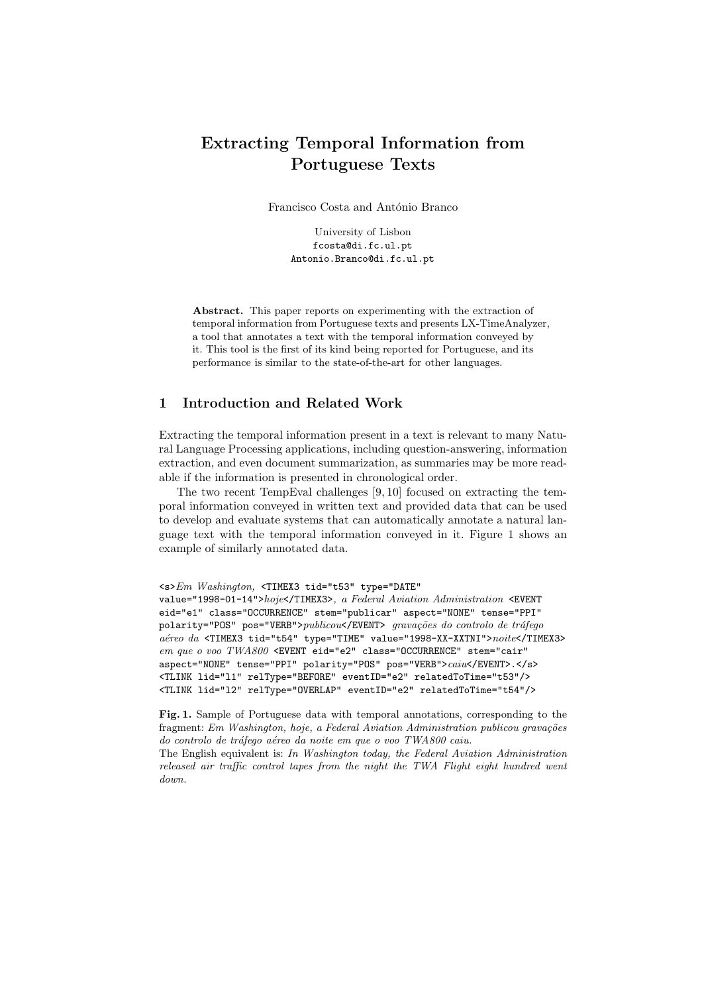# Extracting Temporal Information from Portuguese Texts

Francisco Costa and António Branco

University of Lisbon fcosta@di.fc.ul.pt Antonio.Branco@di.fc.ul.pt

Abstract. This paper reports on experimenting with the extraction of temporal information from Portuguese texts and presents LX-TimeAnalyzer, a tool that annotates a text with the temporal information conveyed by it. This tool is the first of its kind being reported for Portuguese, and its performance is similar to the state-of-the-art for other languages.

# 1 Introduction and Related Work

Extracting the temporal information present in a text is relevant to many Natural Language Processing applications, including question-answering, information extraction, and even document summarization, as summaries may be more readable if the information is presented in chronological order.

The two recent TempEval challenges [9, 10] focused on extracting the temporal information conveyed in written text and provided data that can be used to develop and evaluate systems that can automatically annotate a natural language text with the temporal information conveyed in it. Figure 1 shows an example of similarly annotated data.

```
<s>Em Washington, <TIMEX3 tid="t53" type="DATE"
value="1998-01-14">hoje</TIMEX3>, a Federal Aviation Administration <EVENT
eid="e1" class="OCCURRENCE" stem="publicar" aspect="NONE" tense="PPI"
polarity="POS" pos="VERB">publicou</EVENT> gravações do controlo de tráfego
aéreo da <TIMEX3 tid="t54" type="TIME" value="1998-XX-XXTNI">noite</TIMEX3>
em que o voo TWAS00 <EVENT eid="e2" class="OCCURRENCE" stem="cair"
aspect="NONE" tense="PPI" polarity="POS" pos="VERB">caiu</EVENT>.</s>
<TLINK lid="l1" relType="BEFORE" eventID="e2" relatedToTime="t53"/>
<TLINK lid="l2" relType="OVERLAP" eventID="e2" relatedToTime="t54"/>
```
Fig. 1. Sample of Portuguese data with temporal annotations, corresponding to the fragment: Em Washington, hoje, a Federal Aviation Administration publicou gravações do controlo de tráfego aéreo da noite em que o voo TWA800 caiu.

The English equivalent is: In Washington today, the Federal Aviation Administration released air traffic control tapes from the night the TWA Flight eight hundred went down.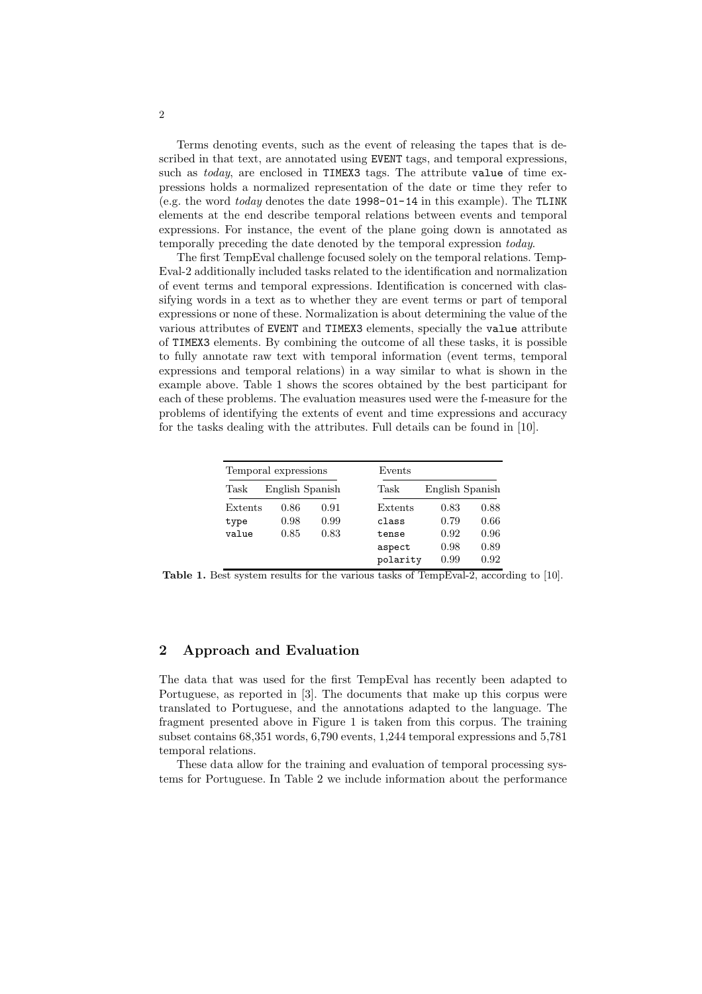Terms denoting events, such as the event of releasing the tapes that is described in that text, are annotated using EVENT tags, and temporal expressions, such as today, are enclosed in TIMEX3 tags. The attribute value of time expressions holds a normalized representation of the date or time they refer to (e.g. the word *today* denotes the date  $1998-01-14$  in this example). The TLINK elements at the end describe temporal relations between events and temporal expressions. For instance, the event of the plane going down is annotated as temporally preceding the date denoted by the temporal expression today.

The first TempEval challenge focused solely on the temporal relations. Temp-Eval-2 additionally included tasks related to the identification and normalization of event terms and temporal expressions. Identification is concerned with classifying words in a text as to whether they are event terms or part of temporal expressions or none of these. Normalization is about determining the value of the various attributes of EVENT and TIMEX3 elements, specially the value attribute of TIMEX3 elements. By combining the outcome of all these tasks, it is possible to fully annotate raw text with temporal information (event terms, temporal expressions and temporal relations) in a way similar to what is shown in the example above. Table 1 shows the scores obtained by the best participant for each of these problems. The evaluation measures used were the f-measure for the problems of identifying the extents of event and time expressions and accuracy for the tasks dealing with the attributes. Full details can be found in [10].

|         | Temporal expressions |                 | Events   |      |                 |
|---------|----------------------|-----------------|----------|------|-----------------|
| Task    |                      | English Spanish | Task     |      | English Spanish |
| Extents | 0.86                 | 0.91            | Extents  | 0.83 | 0.88            |
| type    | 0.98                 | 0.99            | class    | 0.79 | 0.66            |
| value   | 0.85                 | 0.83            | tense    | 0.92 | 0.96            |
|         |                      |                 | aspect   | 0.98 | 0.89            |
|         |                      |                 | polarity | 0.99 | 0.92            |

Table 1. Best system results for the various tasks of TempEval-2, according to [10].

## 2 Approach and Evaluation

The data that was used for the first TempEval has recently been adapted to Portuguese, as reported in [3]. The documents that make up this corpus were translated to Portuguese, and the annotations adapted to the language. The fragment presented above in Figure 1 is taken from this corpus. The training subset contains 68,351 words, 6,790 events, 1,244 temporal expressions and 5,781 temporal relations.

These data allow for the training and evaluation of temporal processing systems for Portuguese. In Table 2 we include information about the performance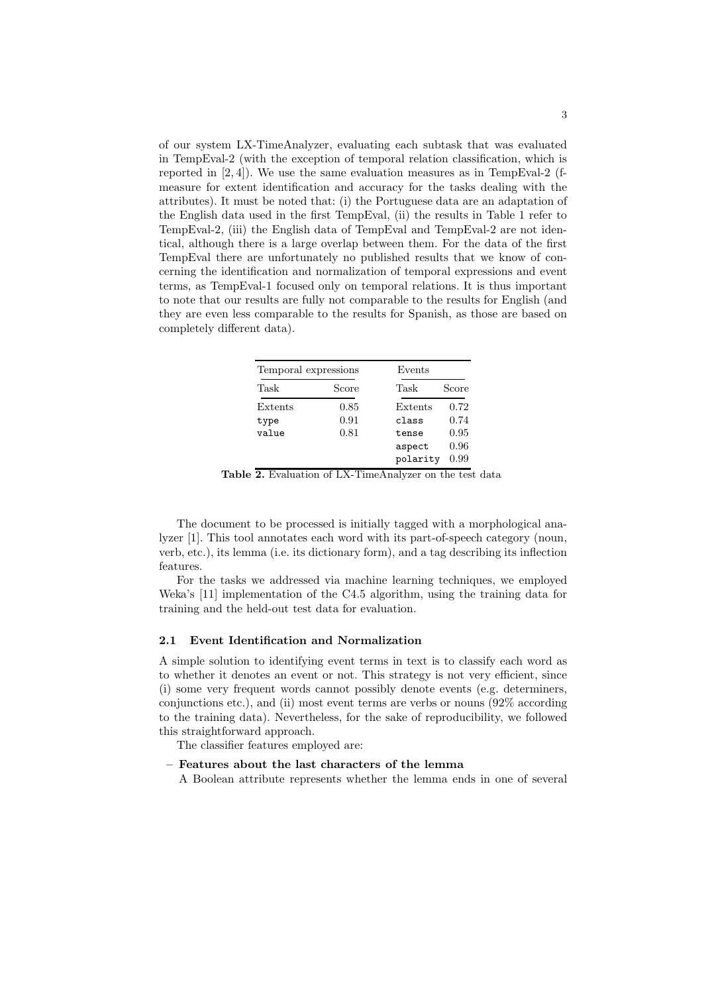of our system LX-TimeAnalyzer, evaluating each subtask that was evaluated in TempEval-2 (with the exception of temporal relation classification, which is reported in [2, 4]). We use the same evaluation measures as in TempEval-2 (fmeasure for extent identification and accuracy for the tasks dealing with the attributes). It must be noted that: (i) the Portuguese data are an adaptation of the English data used in the first TempEval, (ii) the results in Table 1 refer to TempEval-2, (iii) the English data of TempEval and TempEval-2 are not identical, although there is a large overlap between them. For the data of the first TempEval there are unfortunately no published results that we know of concerning the identification and normalization of temporal expressions and event terms, as TempEval-1 focused only on temporal relations. It is thus important to note that our results are fully not comparable to the results for English (and they are even less comparable to the results for Spanish, as those are based on completely different data).

| Temporal expressions |       | Events   |       |
|----------------------|-------|----------|-------|
| Task                 | Score | Task     | Score |
| Extents              | 0.85  | Extents  | 0.72  |
| type                 | 0.91  | class    | 0.74  |
| value                | 0.81  | tense    | 0.95  |
|                      |       | aspect   | 0.96  |
|                      |       | polarity | 0.99  |

Table 2. Evaluation of LX-TimeAnalyzer on the test data

The document to be processed is initially tagged with a morphological analyzer [1]. This tool annotates each word with its part-of-speech category (noun, verb, etc.), its lemma (i.e. its dictionary form), and a tag describing its inflection features.

For the tasks we addressed via machine learning techniques, we employed Weka's [11] implementation of the C4.5 algorithm, using the training data for training and the held-out test data for evaluation.

# 2.1 Event Identification and Normalization

A simple solution to identifying event terms in text is to classify each word as to whether it denotes an event or not. This strategy is not very efficient, since (i) some very frequent words cannot possibly denote events (e.g. determiners, conjunctions etc.), and (ii) most event terms are verbs or nouns (92% according to the training data). Nevertheless, for the sake of reproducibility, we followed this straightforward approach.

The classifier features employed are:

#### – Features about the last characters of the lemma

A Boolean attribute represents whether the lemma ends in one of several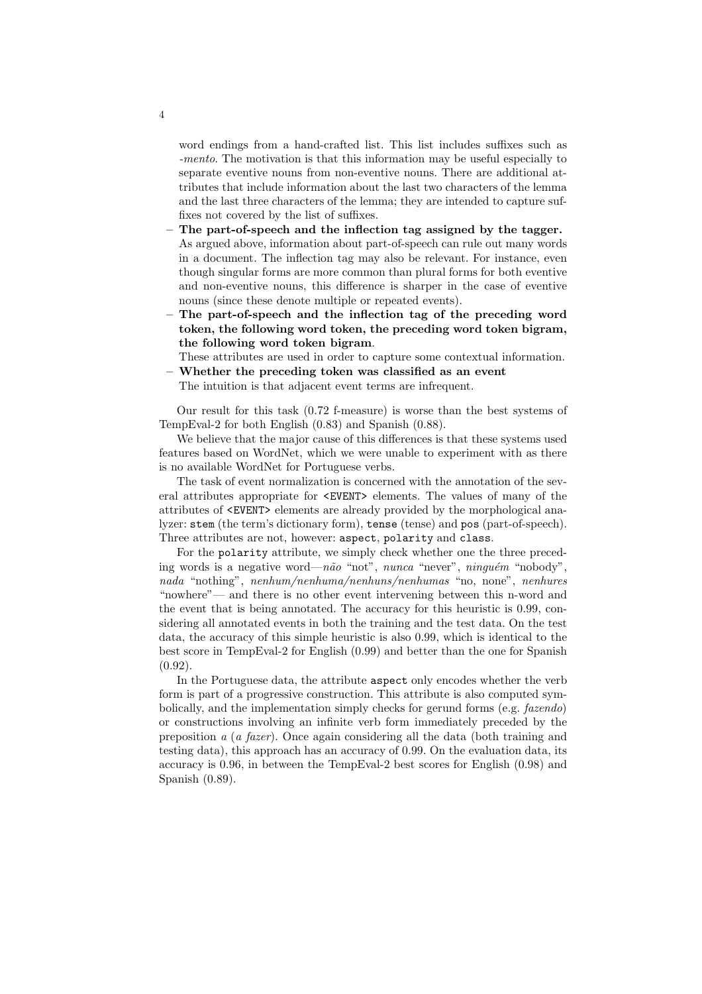word endings from a hand-crafted list. This list includes suffixes such as -mento. The motivation is that this information may be useful especially to separate eventive nouns from non-eventive nouns. There are additional attributes that include information about the last two characters of the lemma and the last three characters of the lemma; they are intended to capture suffixes not covered by the list of suffixes.

- The part-of-speech and the inflection tag assigned by the tagger. As argued above, information about part-of-speech can rule out many words in a document. The inflection tag may also be relevant. For instance, even though singular forms are more common than plural forms for both eventive and non-eventive nouns, this difference is sharper in the case of eventive nouns (since these denote multiple or repeated events).
- The part-of-speech and the inflection tag of the preceding word token, the following word token, the preceding word token bigram, the following word token bigram.

These attributes are used in order to capture some contextual information.

– Whether the preceding token was classified as an event The intuition is that adjacent event terms are infrequent.

Our result for this task (0.72 f-measure) is worse than the best systems of TempEval-2 for both English (0.83) and Spanish (0.88).

We believe that the major cause of this differences is that these systems used features based on WordNet, which we were unable to experiment with as there is no available WordNet for Portuguese verbs.

The task of event normalization is concerned with the annotation of the several attributes appropriate for <EVENT> elements. The values of many of the attributes of <EVENT> elements are already provided by the morphological analyzer: stem (the term's dictionary form), tense (tense) and pos (part-of-speech). Three attributes are not, however: aspect, polarity and class.

For the polarity attribute, we simply check whether one the three preceding words is a negative word— $n\tilde{a}o$  "not", nunca "never", ninguém "nobody", nada "nothing", nenhum/nenhuma/nenhuns/nenhumas "no, none", nenhures "nowhere"— and there is no other event intervening between this n-word and the event that is being annotated. The accuracy for this heuristic is 0.99, considering all annotated events in both the training and the test data. On the test data, the accuracy of this simple heuristic is also 0.99, which is identical to the best score in TempEval-2 for English (0.99) and better than the one for Spanish (0.92).

In the Portuguese data, the attribute aspect only encodes whether the verb form is part of a progressive construction. This attribute is also computed symbolically, and the implementation simply checks for gerund forms (e.g. fazendo) or constructions involving an infinite verb form immediately preceded by the preposition a (a fazer). Once again considering all the data (both training and testing data), this approach has an accuracy of 0.99. On the evaluation data, its accuracy is 0.96, in between the TempEval-2 best scores for English (0.98) and Spanish (0.89).

4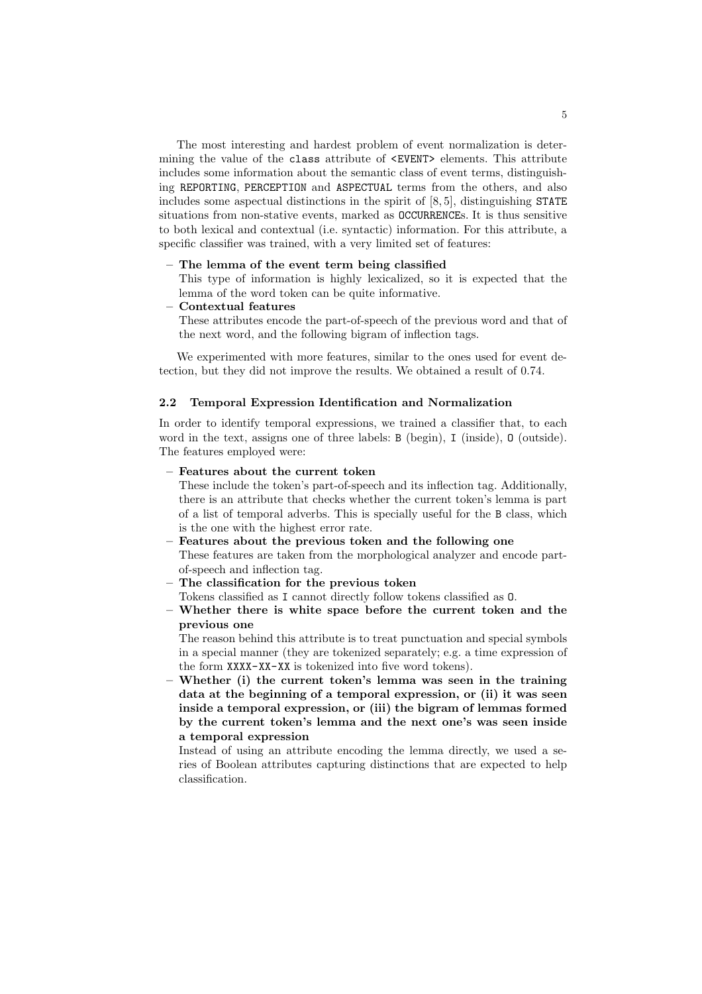The most interesting and hardest problem of event normalization is determining the value of the class attribute of <EVENT> elements. This attribute includes some information about the semantic class of event terms, distinguishing REPORTING, PERCEPTION and ASPECTUAL terms from the others, and also includes some aspectual distinctions in the spirit of [8, 5], distinguishing STATE situations from non-stative events, marked as OCCURRENCEs. It is thus sensitive to both lexical and contextual (i.e. syntactic) information. For this attribute, a specific classifier was trained, with a very limited set of features:

### – The lemma of the event term being classified

This type of information is highly lexicalized, so it is expected that the lemma of the word token can be quite informative.

– Contextual features

These attributes encode the part-of-speech of the previous word and that of the next word, and the following bigram of inflection tags.

We experimented with more features, similar to the ones used for event detection, but they did not improve the results. We obtained a result of 0.74.

#### 2.2 Temporal Expression Identification and Normalization

In order to identify temporal expressions, we trained a classifier that, to each word in the text, assigns one of three labels: B (begin), I (inside), O (outside). The features employed were:

## – Features about the current token

These include the token's part-of-speech and its inflection tag. Additionally, there is an attribute that checks whether the current token's lemma is part of a list of temporal adverbs. This is specially useful for the B class, which is the one with the highest error rate.

## – Features about the previous token and the following one

These features are taken from the morphological analyzer and encode partof-speech and inflection tag.

- The classification for the previous token
- Tokens classified as I cannot directly follow tokens classified as O.
- Whether there is white space before the current token and the previous one

The reason behind this attribute is to treat punctuation and special symbols in a special manner (they are tokenized separately; e.g. a time expression of the form XXXX-XX-XX is tokenized into five word tokens).

– Whether (i) the current token's lemma was seen in the training data at the beginning of a temporal expression, or (ii) it was seen inside a temporal expression, or (iii) the bigram of lemmas formed by the current token's lemma and the next one's was seen inside a temporal expression

Instead of using an attribute encoding the lemma directly, we used a series of Boolean attributes capturing distinctions that are expected to help classification.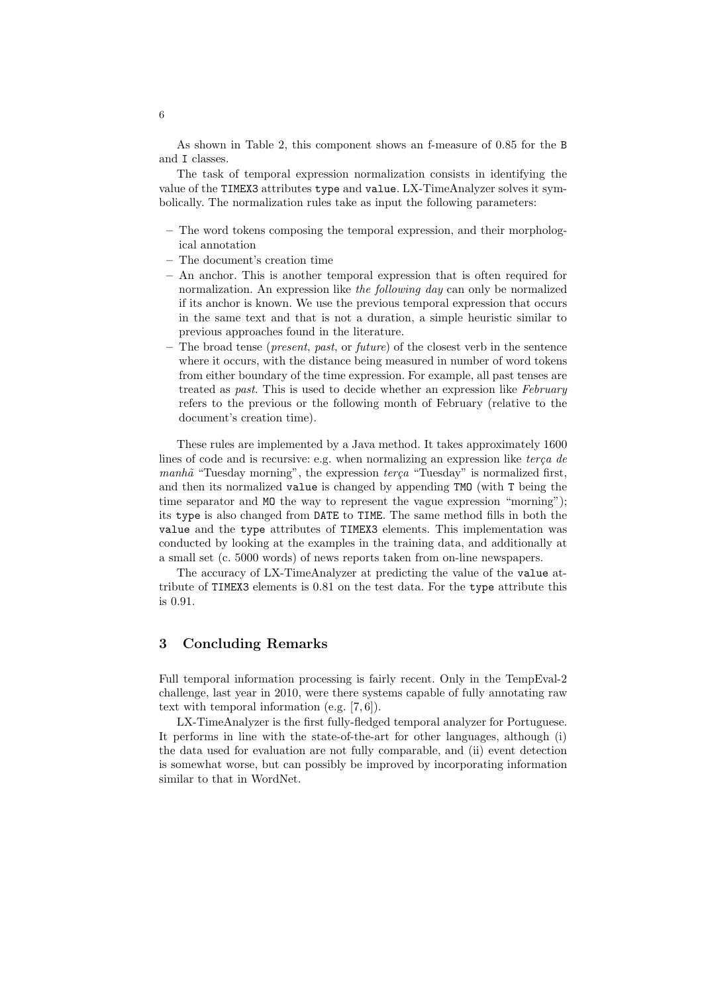As shown in Table 2, this component shows an f-measure of 0.85 for the B and I classes.

The task of temporal expression normalization consists in identifying the value of the TIMEX3 attributes type and value. LX-TimeAnalyzer solves it symbolically. The normalization rules take as input the following parameters:

- The word tokens composing the temporal expression, and their morphological annotation
- The document's creation time
- An anchor. This is another temporal expression that is often required for normalization. An expression like the following day can only be normalized if its anchor is known. We use the previous temporal expression that occurs in the same text and that is not a duration, a simple heuristic similar to previous approaches found in the literature.
- The broad tense (*present, past,* or *future*) of the closest verb in the sentence where it occurs, with the distance being measured in number of word tokens from either boundary of the time expression. For example, all past tenses are treated as past. This is used to decide whether an expression like February refers to the previous or the following month of February (relative to the document's creation time).

These rules are implemented by a Java method. It takes approximately 1600 lines of code and is recursive: e.g. when normalizing an expression like  $ter\alpha de$ manh $\tilde{a}$  "Tuesday morning", the expression terça "Tuesday" is normalized first, and then its normalized value is changed by appending TMO (with T being the time separator and MO the way to represent the vague expression "morning"); its type is also changed from DATE to TIME. The same method fills in both the value and the type attributes of TIMEX3 elements. This implementation was conducted by looking at the examples in the training data, and additionally at a small set (c. 5000 words) of news reports taken from on-line newspapers.

The accuracy of LX-TimeAnalyzer at predicting the value of the value attribute of TIMEX3 elements is 0.81 on the test data. For the type attribute this is 0.91.

## 3 Concluding Remarks

Full temporal information processing is fairly recent. Only in the TempEval-2 challenge, last year in 2010, were there systems capable of fully annotating raw text with temporal information (e.g. [7, 6]).

LX-TimeAnalyzer is the first fully-fledged temporal analyzer for Portuguese. It performs in line with the state-of-the-art for other languages, although (i) the data used for evaluation are not fully comparable, and (ii) event detection is somewhat worse, but can possibly be improved by incorporating information similar to that in WordNet.

6